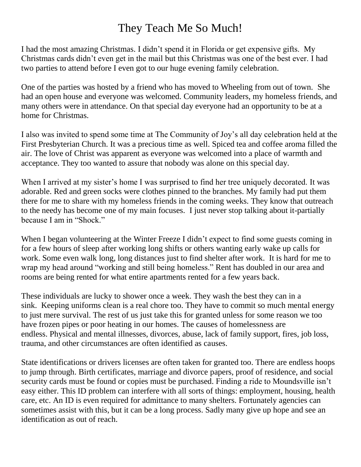## They Teach Me So Much!

I had the most amazing Christmas. I didn't spend it in Florida or get expensive gifts. My Christmas cards didn't even get in the mail but this Christmas was one of the best ever. I had two parties to attend before I even got to our huge evening family celebration.

One of the parties was hosted by a friend who has moved to Wheeling from out of town. She had an open house and everyone was welcomed. Community leaders, my homeless friends, and many others were in attendance. On that special day everyone had an opportunity to be at a home for Christmas.

I also was invited to spend some time at The Community of Joy's all day celebration held at the First Presbyterian Church. It was a precious time as well. Spiced tea and coffee aroma filled the air. The love of Christ was apparent as everyone was welcomed into a place of warmth and acceptance. They too wanted to assure that nobody was alone on this special day.

When I arrived at my sister's home I was surprised to find her tree uniquely decorated. It was adorable. Red and green socks were clothes pinned to the branches. My family had put them there for me to share with my homeless friends in the coming weeks. They know that outreach to the needy has become one of my main focuses. I just never stop talking about it-partially because I am in "Shock."

When I began volunteering at the Winter Freeze I didn't expect to find some guests coming in for a few hours of sleep after working long shifts or others wanting early wake up calls for work. Some even walk long, long distances just to find shelter after work. It is hard for me to wrap my head around "working and still being homeless." Rent has doubled in our area and rooms are being rented for what entire apartments rented for a few years back.

These individuals are lucky to shower once a week. They wash the best they can in a sink. Keeping uniforms clean is a real chore too. They have to commit so much mental energy to just mere survival. The rest of us just take this for granted unless for some reason we too have frozen pipes or poor heating in our homes. The causes of homelessness are endless. Physical and mental illnesses, divorces, abuse, lack of family support, fires, job loss, trauma, and other circumstances are often identified as causes.

State identifications or drivers licenses are often taken for granted too. There are endless hoops to jump through. Birth certificates, marriage and divorce papers, proof of residence, and social security cards must be found or copies must be purchased. Finding a ride to Moundsville isn't easy either. This ID problem can interfere with all sorts of things: employment, housing, health care, etc. An ID is even required for admittance to many shelters. Fortunately agencies can sometimes assist with this, but it can be a long process. Sadly many give up hope and see an identification as out of reach.